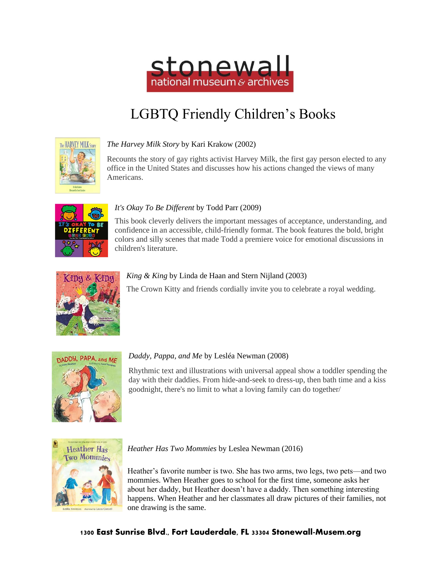

# LGBTQ Friendly Children's Books



## *The Harvey Milk Story* by Kari Krakow (2002)

Recounts the story of gay rights activist Harvey Milk, the first gay person elected to any office in the United States and discusses how his actions changed the views of many Americans.



#### *It's Okay To Be Different* by Todd Parr (2009)

This book cleverly delivers the important messages of acceptance, understanding, and confidence in an accessible, child-friendly format. The book features the bold, bright colors and silly scenes that made Todd a premiere voice for emotional discussions in children's literature.



#### *King & King* by Linda de Haan and Stern Nijland (2003)

The Crown Kitty and friends cordially invite you to celebrate a royal wedding.



#### *Daddy, Pappa, and Me* by Lesléa Newman (2008)

Rhythmic text and illustrations with universal appeal show a toddler spending the day with their daddies. From hide-and-seek to dress-up, then bath time and a kiss goodnight, there's no limit to what a loving family can do together/



#### *[Heather Has Two Mommies](http://stonewall-intra.dnsalias.org/cgi-bin/koha/catalogue/detail.pl?biblionumber=7040&searchid=scs_1623786664351)* by Leslea Newman (2016)

Heather's favorite number is two. She has two arms, two legs, two pets—and two mommies. When Heather goes to school for the first time, someone asks her about her daddy, but Heather doesn't have a daddy. Then something interesting happens. When Heather and her classmates all draw pictures of their families, not one drawing is the same.

#### 1300 East Sunrise Blvd., Fort Lauderdale, FL 33304 Stonewall-Musem.org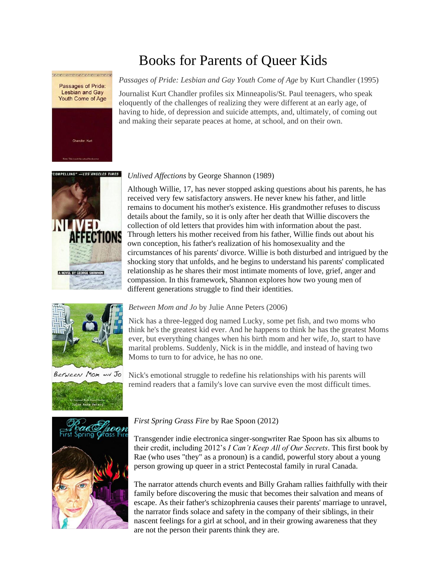# Books for Parents of Queer Kids

### *Passages of Pride: Lesbian and Gay Youth Come of Age* by Kurt Chandler (1995)

Journalist Kurt Chandler profiles six Minneapolis/St. Paul teenagers, who speak eloquently of the challenges of realizing they were different at an early age, of having to hide, of depression and suicide attempts, and, ultimately, of coming out and making their separate peaces at home, at school, and on their own.



Passages of Pride: Lesbian and Gay Youth Come of Age

#### *Unlived Affections* by George Shannon (1989)

Although Willie, 17, has never stopped asking questions about his parents, he has received very few satisfactory answers. He never knew his father, and little remains to document his mother's existence. His grandmother refuses to discuss details about the family, so it is only after her death that Willie discovers the collection of old letters that provides him with information about the past. Through letters his mother received from his father, Willie finds out about his own conception, his father's realization of his homosexuality and the circumstances of his parents' divorce. Willie is both disturbed and intrigued by the shocking story that unfolds, and he begins to understand his parents' complicated relationship as he shares their most intimate moments of love, grief, anger and compassion. In this framework, Shannon explores how two young men of different generations struggle to find their identities.



Between Mom and Jo





Nick has a three-legged dog named Lucky, some pet fish, and two moms who think he's the greatest kid ever. And he happens to think he has the greatest Moms ever, but everything changes when his birth mom and her wife, Jo, start to have marital problems. Suddenly, Nick is in the middle, and instead of having two Moms to turn to for advice, he has no one.

Nick's emotional struggle to redefine his relationships with his parents will remind readers that a family's love can survive even the most difficult times.



#### *First Spring Grass Fire* by Rae Spoon (2012)

Transgender indie electronica singer-songwriter Rae Spoon has six albums to their credit, including 2012's *I Can't Keep All of Our Secrets*. This first book by Rae (who uses "they" as a pronoun) is a candid, powerful story about a young person growing up queer in a strict Pentecostal family in rural Canada.

The narrator attends church events and Billy Graham rallies faithfully with their family before discovering the music that becomes their salvation and means of escape. As their father's schizophrenia causes their parents' marriage to unravel, the narrator finds solace and safety in the company of their siblings, in their nascent feelings for a girl at school, and in their growing awareness that they are not the person their parents think they are.